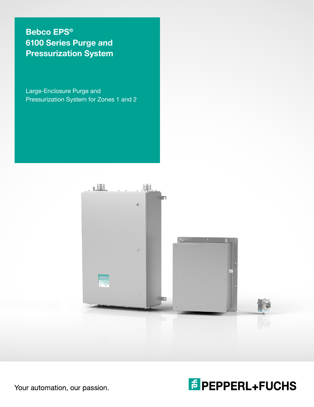Bebco EPS® 6100 Series Purge and Pressurization System

Large-Enclosure Purge and Pressurization System for Zones 1 and 2



**F** PEPPERL+FUCHS

Your automation, our passion.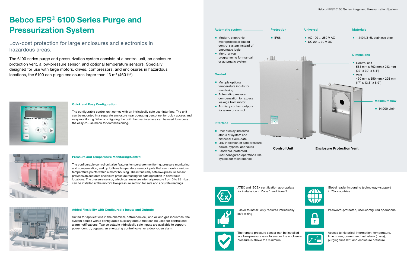Control Unit Enclosure Protection Vent



Global leader in purging technology—support in 70+ countries



Easier to install: only requires intrinsically safe wiring



Password-protected, user-configured operations



The 6100 series purge and pressurization system consists of a control unit, an enclosure protection vent, a low-pressure sensor, and optional temperature sensors. Specially designed for use with large motors, drives, compressors, and enclosures in hazardous locations, the 6100 can purge enclosures larger than 13  $m<sup>3</sup>$  (460 ft<sup>3</sup>).



The remote pressure sensor can be installed in a low-pressure area to ensure the enclosure pressure is above the minimum

Access to historical information, temperature, time in use, current and last alarm (if any), purging time left, and enclosure pressure

# Bebco EPS® 6100 Series Purge and Pressurization System

Low-cost protection for large enclosures and electronics in hazardous areas.

#### Quick and Easy Configuration

The configurable control unit comes with an intrinsically safe user interface. The unit can be mounted in a separate enclosure near operating personnel for quick access and easy monitoring. When configuring the unit, the user interface can be used to access the easy-to-use menu for commissioning.





#### Pressure and Temperature Monitoring/Control

The configurable control unit also features temperature monitoring, pressure monitoring and compensation, and up to three temperature sensor inputs that can monitor various temperature points within a motor housing. The intrinsically safe low-pressure sensor provides an accurate enclosure pressure reading for safe operation in hazardous locations. The pressure sensor, which can measure internal pressure from 0 to 25 mbar, can be installed at the motor's low-pressure section for safe and accurate readings.



#### Added Flexibility with Configurable Inputs and Outputs

Suited for applications in the chemical, petrochemical, and oil and gas industries, the system comes with a configurable auxiliary output that can be used for control and alarm notifications. Two selectable intrinsically safe inputs are available to support power control, bypass, an energizing control valve, or a door-open alarm.

#### **Universal**

- **AC 100 ... 250 V AC**
- DC 20 ... 30 V DC

#### **Materials**

■ 1.4404/316L stainless steel

#### **Dimensions**